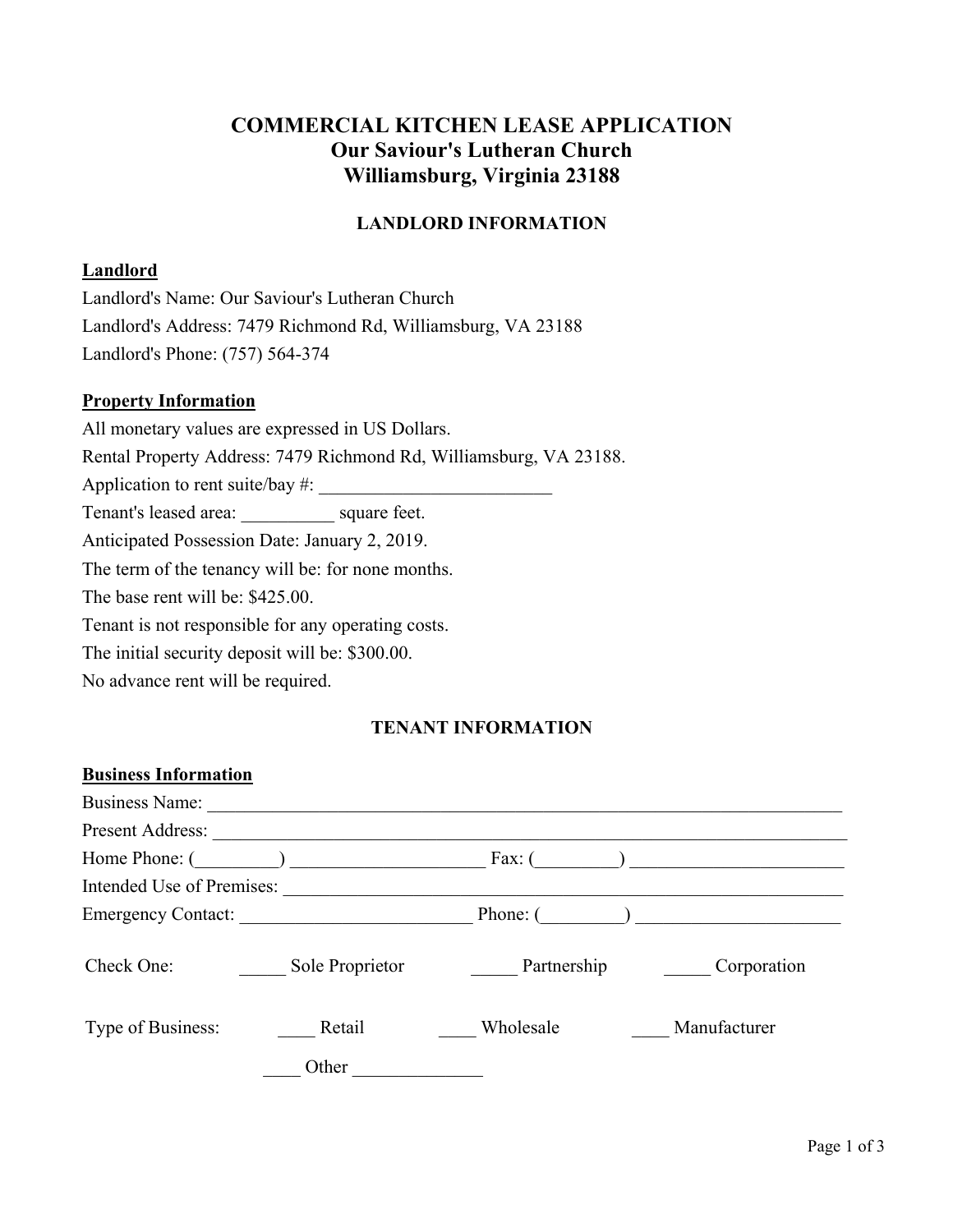# **COMMERCIAL KITCHEN LEASE APPLICATION Our Saviour's Lutheran Church Williamsburg, Virginia 23188**

# **LANDLORD INFORMATION**

## **Landlord**

Landlord's Name: Our Saviour's Lutheran Church Landlord's Address: 7479 Richmond Rd, Williamsburg, VA 23188 Landlord's Phone: (757) 564-374

#### **Property Information**

All monetary values are expressed in US Dollars. Rental Property Address: 7479 Richmond Rd, Williamsburg, VA 23188. Application to rent suite/bay  $\#$ : Tenant's leased area: \_\_\_\_\_\_\_\_\_\_ square feet. Anticipated Possession Date: January 2, 2019. The term of the tenancy will be: for none months. The base rent will be: \$425.00. Tenant is not responsible for any operating costs. The initial security deposit will be: \$300.00.

No advance rent will be required.

# **TENANT INFORMATION**

| <b>Business Information</b>      |                 |             |              |
|----------------------------------|-----------------|-------------|--------------|
| <b>Business Name:</b>            |                 |             |              |
| Present Address:                 |                 |             |              |
| Home Phone: (                    |                 | Fax: $($    |              |
| <b>Intended Use of Premises:</b> |                 |             |              |
| <b>Emergency Contact:</b>        |                 | Phone: (    |              |
| Check One:                       | Sole Proprietor | Partnership | Corporation  |
| Type of Business:                | Retail          | Wholesale   | Manufacturer |
|                                  | Other           |             |              |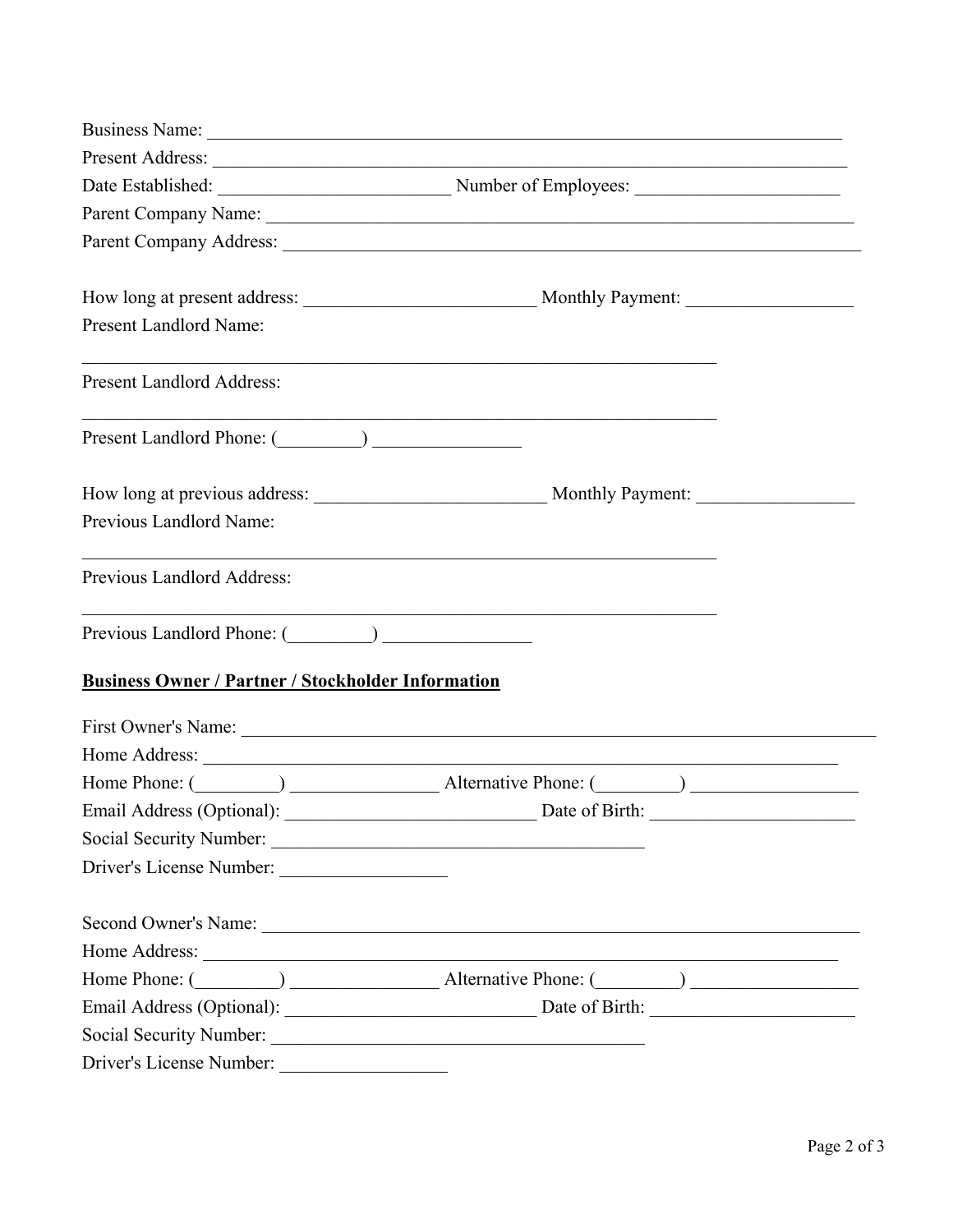|                                                           | Business Name: 2008. [2016] The Contract of the Contract of the Contract of the Contract of the Contract of the Contract of the Contract of the Contract of the Contract of the Contract of the Contract of the Contract of th |  |  |
|-----------------------------------------------------------|--------------------------------------------------------------------------------------------------------------------------------------------------------------------------------------------------------------------------------|--|--|
|                                                           |                                                                                                                                                                                                                                |  |  |
|                                                           | Date Established: Number of Employees: Number of Employees:                                                                                                                                                                    |  |  |
|                                                           |                                                                                                                                                                                                                                |  |  |
|                                                           |                                                                                                                                                                                                                                |  |  |
| Present Landlord Name:                                    |                                                                                                                                                                                                                                |  |  |
| <b>Present Landlord Address:</b>                          |                                                                                                                                                                                                                                |  |  |
|                                                           |                                                                                                                                                                                                                                |  |  |
|                                                           |                                                                                                                                                                                                                                |  |  |
| Previous Landlord Name:                                   |                                                                                                                                                                                                                                |  |  |
| Previous Landlord Address:                                |                                                                                                                                                                                                                                |  |  |
| Previous Landlord Phone: (Champion Company)               |                                                                                                                                                                                                                                |  |  |
| <b>Business Owner / Partner / Stockholder Information</b> |                                                                                                                                                                                                                                |  |  |
|                                                           |                                                                                                                                                                                                                                |  |  |
| Home Address:                                             |                                                                                                                                                                                                                                |  |  |
|                                                           | Home Phone: (Champione Comparison and Alternative Phone: (Champione Comparison and Alternative Phone: (Champione Comparison and Alternative Phone: (Champione Comparison and Alternative Phone: (Champione Comparison and Alte |  |  |
| Email Address (Optional):                                 | Date of Birth:<br><u> 1989 - Johann Barbara, martin a</u>                                                                                                                                                                      |  |  |
|                                                           |                                                                                                                                                                                                                                |  |  |
|                                                           |                                                                                                                                                                                                                                |  |  |
|                                                           |                                                                                                                                                                                                                                |  |  |
| Home Address:                                             |                                                                                                                                                                                                                                |  |  |
|                                                           | Home Phone: (Champione Latternative Phone: (Champione Latternative Phone: (Champione Latternative Phone: (Champione Latternative Phone: Champione Latternative Phone: (Champione Latternative Phone: Champione Latternative Ph |  |  |
|                                                           | Email Address (Optional): Date of Birth: Date of Birth:                                                                                                                                                                        |  |  |
|                                                           |                                                                                                                                                                                                                                |  |  |
| Driver's License Number:                                  |                                                                                                                                                                                                                                |  |  |